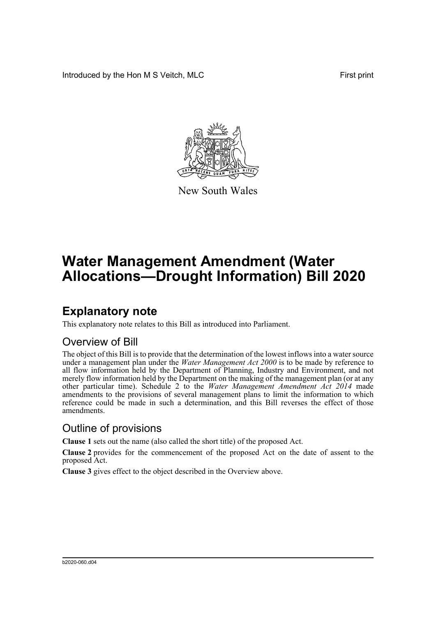Introduced by the Hon M S Veitch, MLC **First print** 



New South Wales

# **Water Management Amendment (Water Allocations—Drought Information) Bill 2020**

## **Explanatory note**

This explanatory note relates to this Bill as introduced into Parliament.

#### Overview of Bill

The object of this Bill is to provide that the determination of the lowest inflows into a water source under a management plan under the *Water Management Act 2000* is to be made by reference to all flow information held by the Department of Planning, Industry and Environment, and not merely flow information held by the Department on the making of the management plan (or at any other particular time). Schedule 2 to the *Water Management Amendment Act 2014* made amendments to the provisions of several management plans to limit the information to which reference could be made in such a determination, and this Bill reverses the effect of those amendments.

#### Outline of provisions

**Clause 1** sets out the name (also called the short title) of the proposed Act.

**Clause 2** provides for the commencement of the proposed Act on the date of assent to the proposed Act.

**Clause 3** gives effect to the object described in the Overview above.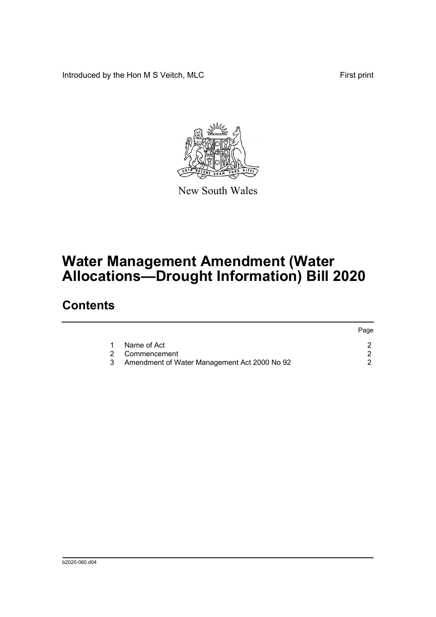Introduced by the Hon M S Veitch, MLC First print



New South Wales

# **Water Management Amendment (Water Allocations—Drought Information) Bill 2020**

### **Contents**

|                                              | Page |
|----------------------------------------------|------|
| Name of Act                                  |      |
| 2 Commencement                               |      |
| Amendment of Water Management Act 2000 No 92 |      |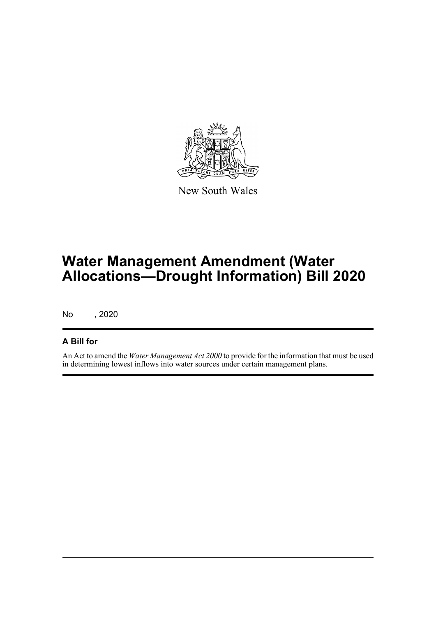

New South Wales

# **Water Management Amendment (Water Allocations—Drought Information) Bill 2020**

No , 2020

#### **A Bill for**

An Act to amend the *Water Management Act 2000* to provide for the information that must be used in determining lowest inflows into water sources under certain management plans.